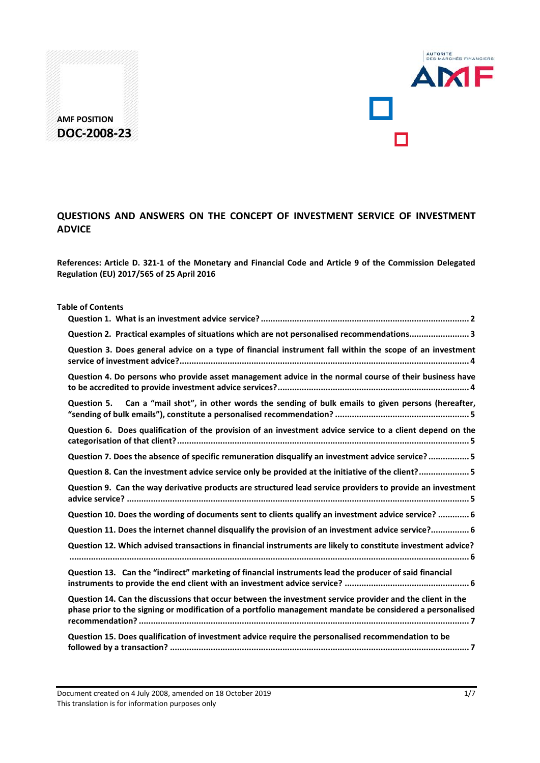



**References: Article D. 321-1 of the Monetary and Financial Code and Article 9 of the Commission Delegated Regulation (EU) 2017/565 of 25 April 2016**

| <b>Table of Contents</b>                                                                                                                                                                                               |
|------------------------------------------------------------------------------------------------------------------------------------------------------------------------------------------------------------------------|
|                                                                                                                                                                                                                        |
| Question 2. Practical examples of situations which are not personalised recommendations 3                                                                                                                              |
| Question 3. Does general advice on a type of financial instrument fall within the scope of an investment                                                                                                               |
| Question 4. Do persons who provide asset management advice in the normal course of their business have                                                                                                                 |
| Question 5. Can a "mail shot", in other words the sending of bulk emails to given persons (hereafter,                                                                                                                  |
| Question 6. Does qualification of the provision of an investment advice service to a client depend on the                                                                                                              |
| Question 7. Does the absence of specific remuneration disqualify an investment advice service?5                                                                                                                        |
| Question 8. Can the investment advice service only be provided at the initiative of the client? 5                                                                                                                      |
| Question 9. Can the way derivative products are structured lead service providers to provide an investment                                                                                                             |
| Question 10. Does the wording of documents sent to clients qualify an investment advice service?  6                                                                                                                    |
| Question 11. Does the internet channel disqualify the provision of an investment advice service? 6                                                                                                                     |
| Question 12. Which advised transactions in financial instruments are likely to constitute investment advice?                                                                                                           |
| Question 13. Can the "indirect" marketing of financial instruments lead the producer of said financial                                                                                                                 |
| Question 14. Can the discussions that occur between the investment service provider and the client in the<br>phase prior to the signing or modification of a portfolio management mandate be considered a personalised |
| Question 15. Does qualification of investment advice require the personalised recommendation to be                                                                                                                     |

Document created on 4 July 2008, amended on 18 October 2019 17 1/7 This translation is for information purposes only

AUTORITÉ<br>DES MARCHÉS FINANCIERS

**AMF**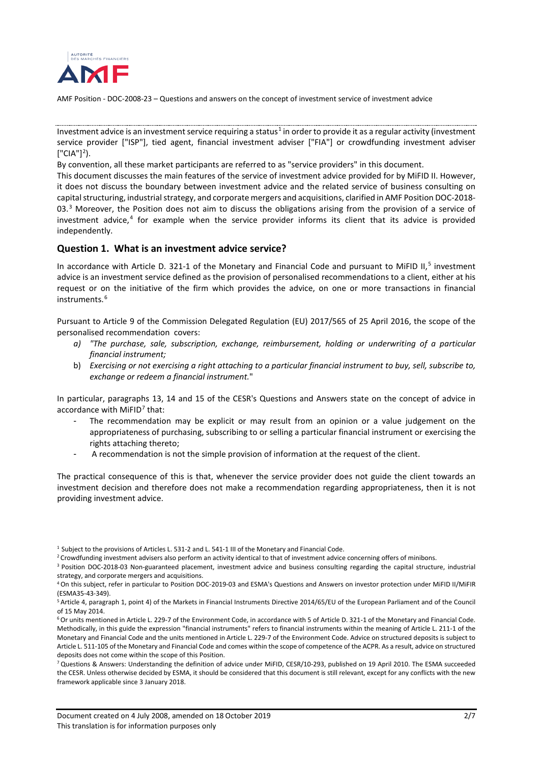

Investment advice is an investment service requiring a status<sup>[1](#page-1-1)</sup> in order to provide it as a regular activity (investment service provider ["ISP"], tied agent, financial investment adviser ["FIA"] or crowdfunding investment adviser  $[$ "CIA"]<sup>[2](#page-1-2)</sup>).

By convention, all these market participants are referred to as "service providers" in this document.

This document discusses the main features of the service of investment advice provided for by MiFID II. However, it does not discuss the boundary between investment advice and the related service of business consulting on capital structuring, industrial strategy, and corporate mergers and acquisitions, clarified in AMF Position DOC-2018- 0[3](#page-1-3).<sup>3</sup> Moreover, the Position does not aim to discuss the obligations arising from the provision of a service of investment advice, [4](#page-1-4) for example when the service provider informs its client that its advice is provided independently.

#### <span id="page-1-0"></span>**Question 1. What is an investment advice service?**

In accordance with Article D. 321-1 of the Monetary and Financial Code and pursuant to MiFID II,<sup>[5](#page-1-5)</sup> investment advice is an investment service defined as the provision of personalised recommendations to a client, either at his request or on the initiative of the firm which provides the advice, on one or more transactions in financial instruments. [6](#page-1-6)

Pursuant to Article 9 of the Commission Delegated Regulation (EU) 2017/565 of 25 April 2016, the scope of the personalised recommendation covers:

- *a) "The purchase, sale, subscription, exchange, reimbursement, holding or underwriting of a particular financial instrument;*
- b) *Exercising or not exercising a right attaching to a particular financial instrument to buy, sell, subscribe to, exchange or redeem a financial instrument.*"

In particular, paragraphs 13, 14 and 15 of the CESR's Questions and Answers state on the concept of advice in accordance with  $MIFID<sup>7</sup>$  $MIFID<sup>7</sup>$  $MIFID<sup>7</sup>$  that:

- The recommendation may be explicit or may result from an opinion or a value judgement on the appropriateness of purchasing, subscribing to or selling a particular financial instrument or exercising the rights attaching thereto;
- A recommendation is not the simple provision of information at the request of the client.

The practical consequence of this is that, whenever the service provider does not guide the client towards an investment decision and therefore does not make a recommendation regarding appropriateness, then it is not providing investment advice.

<span id="page-1-7"></span> $7$  Questions & Answers: Understanding the definition of advice under MiFID, CESR/10-293, published on 19 April 2010. The ESMA succeeded the CESR. Unless otherwise decided by ESMA, it should be considered that this document is still relevant, except for any conflicts with the new framework applicable since 3 January 2018.

<sup>&</sup>lt;sup>1</sup> Subject to the provisions of Articles L. 531-2 and L. 541-1 III of the Monetary and Financial Code.

<span id="page-1-2"></span><span id="page-1-1"></span><sup>&</sup>lt;sup>2</sup> Crowdfunding investment advisers also perform an activity identical to that of investment advice concerning offers of minibons.

<span id="page-1-3"></span><sup>3</sup> Position DOC-2018-03 Non-guaranteed placement, investment advice and business consulting regarding the capital structure, industrial strategy, and corporate mergers and acquisitions.

<span id="page-1-4"></span><sup>4</sup>On this subject, refer in particular to Position DOC-2019-03 and ESMA's Questions and Answers on investor protection under MiFID II/MiFIR (ESMA35-43-349).

<span id="page-1-5"></span><sup>5</sup> Article 4, paragraph 1, point 4) of the Markets in Financial Instruments Directive 2014/65/EU of the European Parliament and of the Council of 15 May 2014.

<span id="page-1-6"></span><sup>6</sup>Or units mentioned in Article L. 229-7 of the Environment Code, in accordance with 5 of Article D. 321-1 of the Monetary and Financial Code. Methodically, in this guide the expression "financial instruments" refers to financial instruments within the meaning of Article L. 211-1 of the Monetary and Financial Code and the units mentioned in Article L. 229-7 of the Environment Code. Advice on structured deposits is subject to Article L. 511-105 of the Monetary and Financial Code and comes within the scope of competence of the ACPR. As a result, advice on structured deposits does not come within the scope of this Position.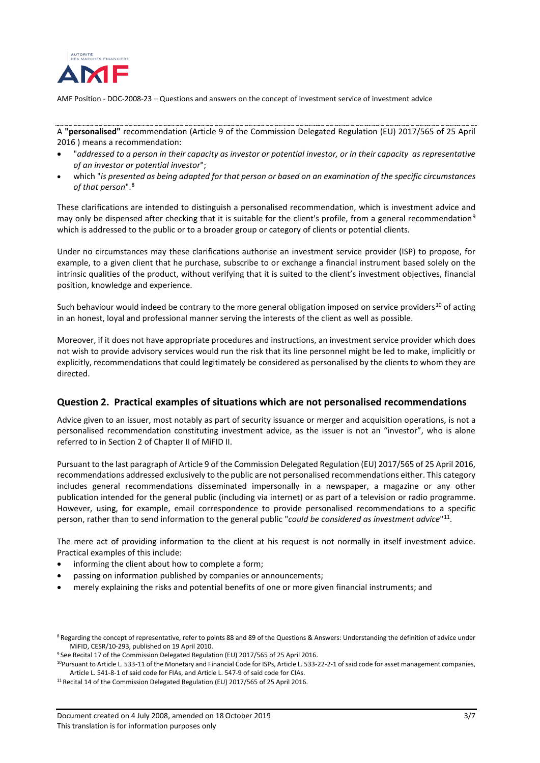

A **"personalised"** recommendation (Article 9 of the Commission Delegated Regulation (EU) 2017/565 of 25 April 2016 ) means a recommendation:

- "*addressed to a person in their capacity as investor or potential investor, or in their capacity as representative of an investor or potential investor*";
- which "*is presented as being adapted for that person or based on an examination of the specific circumstances of that person*". [8](#page-2-1)

These clarifications are intended to distinguish a personalised recommendation, which is investment advice and may only be dispensed after checking that it is suitable for the client's profile, from a general recommendation<sup>[9](#page-2-2)</sup> which is addressed to the public or to a broader group or category of clients or potential clients.

Under no circumstances may these clarifications authorise an investment service provider (ISP) to propose, for example, to a given client that he purchase, subscribe to or exchange a financial instrument based solely on the intrinsic qualities of the product, without verifying that it is suited to the client's investment objectives, financial position, knowledge and experience.

Such behaviour would indeed be contrary to the more general obligation imposed on service providers<sup>[10](#page-2-3)</sup> of acting in an honest, loyal and professional manner serving the interests of the client as well as possible.

Moreover, if it does not have appropriate procedures and instructions, an investment service provider which does not wish to provide advisory services would run the risk that its line personnel might be led to make, implicitly or explicitly, recommendations that could legitimately be considered as personalised by the clients to whom they are directed.

#### <span id="page-2-0"></span>**Question 2. Practical examples of situations which are not personalised recommendations**

Advice given to an issuer, most notably as part of security issuance or merger and acquisition operations, is not a personalised recommendation constituting investment advice, as the issuer is not an "investor", who is alone referred to in Section 2 of Chapter II of MiFID II.

Pursuant to the last paragraph of Article 9 of the Commission Delegated Regulation (EU) 2017/565 of 25 April 2016, recommendations addressed exclusively to the public are not personalised recommendations either. This category includes general recommendations disseminated impersonally in a newspaper, a magazine or any other publication intended for the general public (including via internet) or as part of a television or radio programme. However, using, for example, email correspondence to provide personalised recommendations to a specific person, rather than to send information to the general public "*could be considered as investment advice*"[11](#page-2-4).

The mere act of providing information to the client at his request is not normally in itself investment advice. Practical examples of this include:

- informing the client about how to complete a form;
- passing on information published by companies or announcements;
- merely explaining the risks and potential benefits of one or more given financial instruments; and

<span id="page-2-1"></span><sup>&</sup>lt;sup>8</sup> Regarding the concept of representative, refer to points 88 and 89 of the Questions & Answers: Understanding the definition of advice under MiFID, CESR/10-293, published on 19 April 2010.

<span id="page-2-2"></span><sup>&</sup>lt;sup>9</sup> See Recital 17 of the Commission Delegated Regulation (EU) 2017/565 of 25 April 2016.

<span id="page-2-3"></span><sup>&</sup>lt;sup>10</sup>Pursuant to Article L. 533-11 of the Monetary and Financial Code for ISPs, Article L. 533-22-2-1 of said code for asset management companies, Article L. 541-8-1 of said code for FIAs, and Article L. 547-9 of said code for CIAs.

<span id="page-2-4"></span> $11$  Recital 14 of the Commission Delegated Regulation (EU) 2017/565 of 25 April 2016.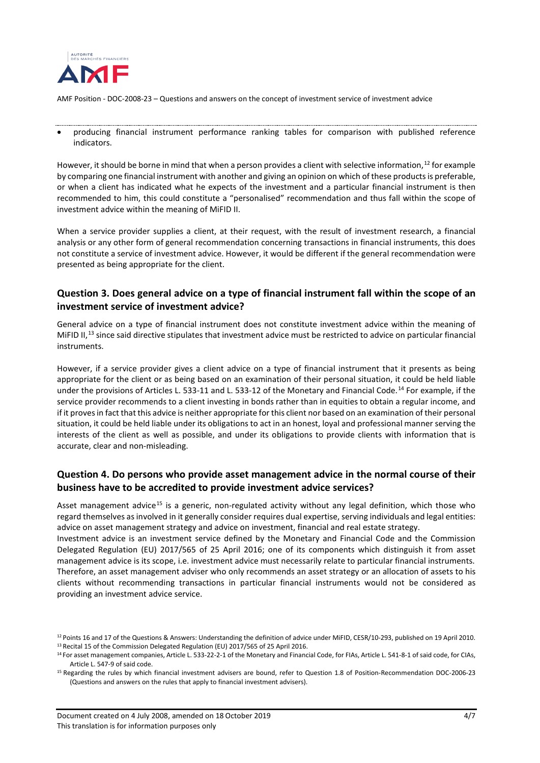

• producing financial instrument performance ranking tables for comparison with published reference indicators.

However, it should be borne in mind that when a person provides a client with selective information,<sup>[12](#page-3-2)</sup> for example by comparing one financial instrument with another and giving an opinion on which of these products is preferable, or when a client has indicated what he expects of the investment and a particular financial instrument is then recommended to him, this could constitute a "personalised" recommendation and thus fall within the scope of investment advice within the meaning of MiFID II.

When a service provider supplies a client, at their request, with the result of investment research, a financial analysis or any other form of general recommendation concerning transactions in financial instruments, this does not constitute a service of investment advice. However, it would be different if the general recommendation were presented as being appropriate for the client.

### <span id="page-3-0"></span>**Question 3. Does general advice on a type of financial instrument fall within the scope of an investment service of investment advice?**

General advice on a type of financial instrument does not constitute investment advice within the meaning of MiFID II,<sup>[13](#page-3-3)</sup> since said directive stipulates that investment advice must be restricted to advice on particular financial instruments.

However, if a service provider gives a client advice on a type of financial instrument that it presents as being appropriate for the client or as being based on an examination of their personal situation, it could be held liable under the provisions of Articles L. 533-11 and L. 533-12 of the Monetary and Financial Code.<sup>[14](#page-3-4)</sup> For example, if the service provider recommends to a client investing in bonds rather than in equities to obtain a regular income, and if it proves in fact that this advice is neither appropriate for this client nor based on an examination of their personal situation, it could be held liable under its obligations to act in an honest, loyal and professional manner serving the interests of the client as well as possible, and under its obligations to provide clients with information that is accurate, clear and non-misleading.

### <span id="page-3-1"></span>**Question 4. Do persons who provide asset management advice in the normal course of their business have to be accredited to provide investment advice services?**

Asset management advice<sup>[15](#page-3-5)</sup> is a generic, non-regulated activity without any legal definition, which those who regard themselves as involved in it generally consider requires dual expertise, serving individuals and legal entities: advice on asset management strategy and advice on investment, financial and real estate strategy.

Investment advice is an investment service defined by the Monetary and Financial Code and the Commission Delegated Regulation (EU) 2017/565 of 25 April 2016; one of its components which distinguish it from asset management advice is its scope, i.e. investment advice must necessarily relate to particular financial instruments. Therefore, an asset management adviser who only recommends an asset strategy or an allocation of assets to his clients without recommending transactions in particular financial instruments would not be considered as providing an investment advice service.

<span id="page-3-3"></span><span id="page-3-2"></span><sup>&</sup>lt;sup>12</sup> Points 16 and 17 of the Questions & Answers: Understanding the definition of advice under MiFID, CESR/10-293, published on 19 April 2010.<br><sup>13</sup> Recital 15 of the Commission Delegated Regulation (EU) 2017/565 of 25 Apr

<span id="page-3-4"></span><sup>&</sup>lt;sup>14</sup> For asset management companies, Article L. 533-22-2-1 of the Monetary and Financial Code, for FIAs, Article L. 541-8-1 of said code, for CIAs, Article L. 547-9 of said code.

<span id="page-3-5"></span><sup>15</sup> Regarding the rules by which financial investment advisers are bound, refer to Question 1.8 of Position-Recommendation DOC-2006-23 (Questions and answers on the rules that apply to financial investment advisers).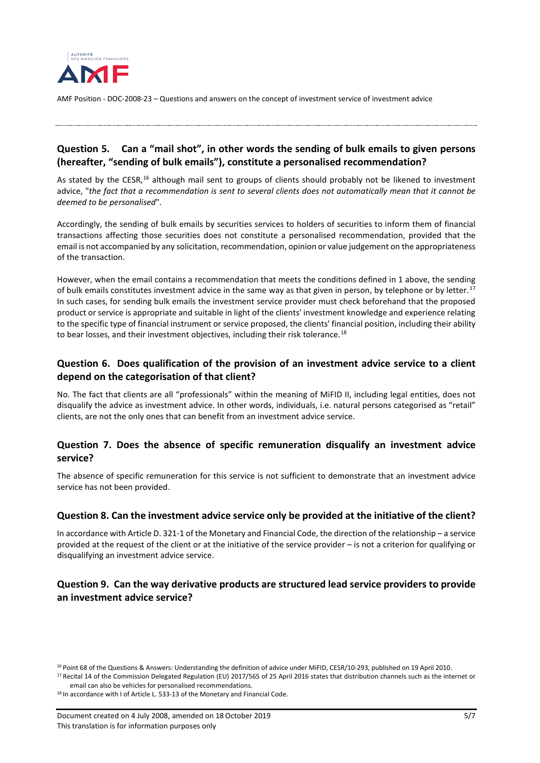

## <span id="page-4-0"></span>**Question 5. Can a "mail shot", in other words the sending of bulk emails to given persons (hereafter, "sending of bulk emails"), constitute a personalised recommendation?**

As stated by the CESR,<sup>[16](#page-4-5)</sup> although mail sent to groups of clients should probably not be likened to investment advice, "*the fact that a recommendation is sent to several clients does not automatically mean that it cannot be deemed to be personalised*".

Accordingly, the sending of bulk emails by securities services to holders of securities to inform them of financial transactions affecting those securities does not constitute a personalised recommendation, provided that the email is not accompanied by any solicitation, recommendation, opinion or value judgement on the appropriateness of the transaction.

However, when the email contains a recommendation that meets the conditions defined in 1 above, the sending of bulk emails constitutes investment advice in the same way as that given in person, by telephone or by letter.<sup>[17](#page-4-6)</sup> In such cases, for sending bulk emails the investment service provider must check beforehand that the proposed product or service is appropriate and suitable in light of the clients' investment knowledge and experience relating to the specific type of financial instrument or service proposed, the clients' financial position, including their ability to bear losses, and their investment objectives, including their risk tolerance.<sup>[18](#page-4-7)</sup>

### <span id="page-4-1"></span>**Question 6. Does qualification of the provision of an investment advice service to a client depend on the categorisation of that client?**

No. The fact that clients are all "professionals" within the meaning of MiFID II, including legal entities, does not disqualify the advice as investment advice. In other words, individuals, i.e. natural persons categorised as "retail" clients, are not the only ones that can benefit from an investment advice service.

### <span id="page-4-2"></span>**Question 7. Does the absence of specific remuneration disqualify an investment advice service?**

The absence of specific remuneration for this service is not sufficient to demonstrate that an investment advice service has not been provided.

### <span id="page-4-3"></span>**Question 8. Can the investment advice service only be provided at the initiative of the client?**

In accordance with Article D. 321-1 of the Monetary and Financial Code, the direction of the relationship – a service provided at the request of the client or at the initiative of the service provider – is not a criterion for qualifying or disqualifying an investment advice service.

### <span id="page-4-4"></span>**Question 9. Can the way derivative products are structured lead service providers to provide an investment advice service?**

<span id="page-4-6"></span><sup>17</sup> Recital 14 of the Commission Delegated Regulation (EU) 2017/565 of 25 April 2016 states that distribution channels such as the internet or email can also be vehicles for personalised recommendations.

<span id="page-4-5"></span><sup>&</sup>lt;sup>16</sup> Point 68 of the Questions & Answers: Understanding the definition of advice under MiFID, CESR/10-293, published on 19 April 2010.

<span id="page-4-7"></span><sup>&</sup>lt;sup>18</sup> In accordance with I of Article L. 533-13 of the Monetary and Financial Code.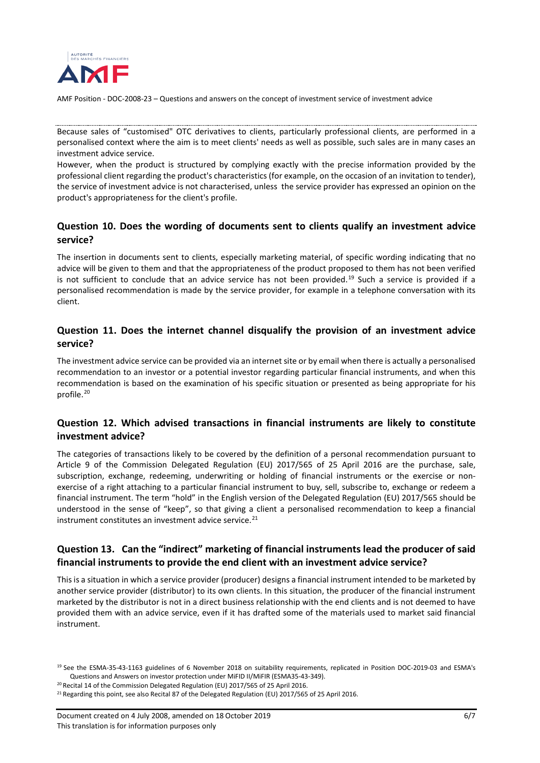

Because sales of "customised" OTC derivatives to clients, particularly professional clients, are performed in a personalised context where the aim is to meet clients' needs as well as possible, such sales are in many cases an investment advice service.

However, when the product is structured by complying exactly with the precise information provided by the professional client regarding the product's characteristics (for example, on the occasion of an invitation to tender), the service of investment advice is not characterised, unless the service provider has expressed an opinion on the product's appropriateness for the client's profile.

### <span id="page-5-0"></span>**Question 10. Does the wording of documents sent to clients qualify an investment advice service?**

The insertion in documents sent to clients, especially marketing material, of specific wording indicating that no advice will be given to them and that the appropriateness of the product proposed to them has not been verified is not sufficient to conclude that an advice service has not been provided. [19](#page-5-4) Such a service is provided if a personalised recommendation is made by the service provider, for example in a telephone conversation with its client.

### <span id="page-5-1"></span>**Question 11. Does the internet channel disqualify the provision of an investment advice service?**

The investment advice service can be provided via an internet site or by email when there is actually a personalised recommendation to an investor or a potential investor regarding particular financial instruments, and when this recommendation is based on the examination of his specific situation or presented as being appropriate for his profile. [20](#page-5-5)

### <span id="page-5-2"></span>**Question 12. Which advised transactions in financial instruments are likely to constitute investment advice?**

The categories of transactions likely to be covered by the definition of a personal recommendation pursuant to Article 9 of the Commission Delegated Regulation (EU) 2017/565 of 25 April 2016 are the purchase, sale, subscription, exchange, redeeming, underwriting or holding of financial instruments or the exercise or nonexercise of a right attaching to a particular financial instrument to buy, sell, subscribe to, exchange or redeem a financial instrument. The term "hold" in the English version of the Delegated Regulation (EU) 2017/565 should be understood in the sense of "keep", so that giving a client a personalised recommendation to keep a financial instrument constitutes an investment advice service. [21](#page-5-6)

# <span id="page-5-3"></span>**Question 13. Can the "indirect" marketing of financial instruments lead the producer of said financial instruments to provide the end client with an investment advice service?**

This is a situation in which a service provider (producer) designs a financial instrument intended to be marketed by another service provider (distributor) to its own clients. In this situation, the producer of the financial instrument marketed by the distributor is not in a direct business relationship with the end clients and is not deemed to have provided them with an advice service, even if it has drafted some of the materials used to market said financial instrument.

<sup>20</sup> Recital 14 of the Commission Delegated Regulation (EU) 2017/565 of 25 April 2016.

<span id="page-5-4"></span><sup>19</sup> See the ESMA-35-43-1163 guidelines of 6 November 2018 on suitability requirements, replicated in Position DOC-2019-03 and ESMA's Questions and Answers on investor protection under MiFID II/MiFIR (ESMA35-43-349).

<span id="page-5-6"></span><span id="page-5-5"></span><sup>&</sup>lt;sup>21</sup> Regarding this point, see also Recital 87 of the Delegated Regulation (EU) 2017/565 of 25 April 2016.